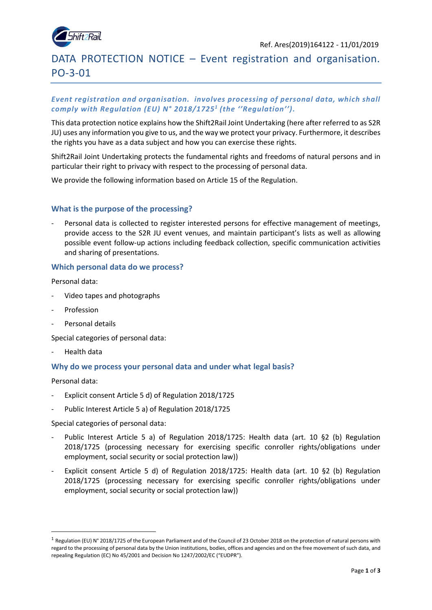

# DATA PROTECTION NOTICE – Event registration and organisation. PO-3-01

# *Event registration and organisation. involves processing of personal data, which shall comply with Regulation (EU) N° 2018/1725<sup>1</sup> (the ''Regulation'').*

This data protection notice explains how the Shift2Rail Joint Undertaking (here after referred to as S2R JU) uses any information you give to us, and the way we protect your privacy. Furthermore, it describes the rights you have as a data subject and how you can exercise these rights.

Shift2Rail Joint Undertaking protects the fundamental rights and freedoms of natural persons and in particular their right to privacy with respect to the processing of personal data.

We provide the following information based on Article 15 of the Regulation.

## **What is the purpose of the processing?**

Personal data is collected to register interested persons for effective management of meetings, provide access to the S2R JU event venues, and maintain participant's lists as well as allowing possible event follow-up actions including feedback collection, specific communication activities and sharing of presentations.

#### **Which personal data do we process?**

Personal data:

- Video tapes and photographs
- Profession
- Personal details

Special categories of personal data:

- Health data

### **Why do we process your personal data and under what legal basis?**

Personal data:

**.** 

- Explicit consent Article 5 d) of Regulation 2018/1725
- Public Interest Article 5 a) of Regulation 2018/1725

Special categories of personal data:

- Public Interest Article 5 a) of Regulation 2018/1725: Health data (art. 10 §2 (b) Regulation 2018/1725 (processing necessary for exercising specific conroller rights/obligations under employment, social security or social protection law))
- Explicit consent Article 5 d) of Regulation 2018/1725: Health data (art. 10 §2 (b) Regulation 2018/1725 (processing necessary for exercising specific conroller rights/obligations under employment, social security or social protection law))

<sup>&</sup>lt;sup>1</sup> Regulation (EU) N° 2018/1725 of the European Parliament and of the Council of 23 October 2018 on the protection of natural persons with regard to the processing of personal data by the Union institutions, bodies, offices and agencies and on the free movement of such data, and repealing Regulation (EC) No 45/2001 and Decision No 1247/2002/EC ("EUDPR").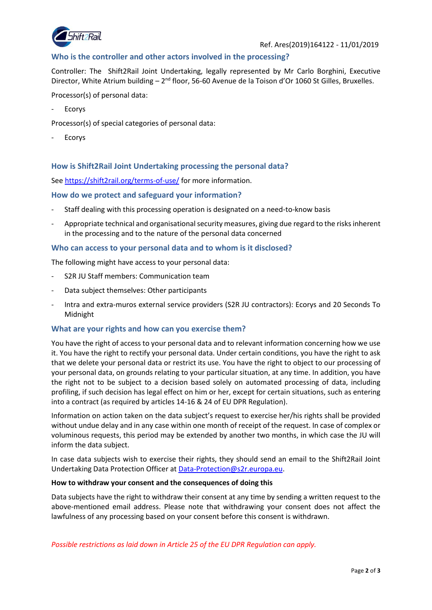

# **Who is the controller and other actors involved in the processing?**

Controller: The Shift2Rail Joint Undertaking, legally represented by Mr Carlo Borghini, Executive Director, White Atrium building - 2<sup>nd</sup> floor, 56-60 Avenue de la Toison d'Or 1060 St Gilles, Bruxelles.

Processor(s) of personal data:

**Ecorys** 

Processor(s) of special categories of personal data:

**Ecorys** 

## **How is Shift2Rail Joint Undertaking processing the personal data?**

See<https://shift2rail.org/terms-of-use/> for more information.

### **How do we protect and safeguard your information?**

- Staff dealing with this processing operation is designated on a need-to-know basis
- Appropriate technical and organisational security measures, giving due regard to the risks inherent in the processing and to the nature of the personal data concerned

#### **Who can access to your personal data and to whom is it disclosed?**

The following might have access to your personal data:

- S2R JU Staff members: Communication team
- Data subject themselves: Other participants
- Intra and extra-muros external service providers (S2R JU contractors): Ecorys and 20 Seconds To Midnight

### **What are your rights and how can you exercise them?**

You have the right of access to your personal data and to relevant information concerning how we use it. You have the right to rectify your personal data. Under certain conditions, you have the right to ask that we delete your personal data or restrict its use. You have the right to object to our processing of your personal data, on grounds relating to your particular situation, at any time. In addition, you have the right not to be subject to a decision based solely on automated processing of data, including profiling, if such decision has legal effect on him or her, except for certain situations, such as entering into a contract (as required by articles 14-16 & 24 of EU DPR Regulation).

Information on action taken on the data subject's request to exercise her/his rights shall be provided without undue delay and in any case within one month of receipt of the request. In case of complex or voluminous requests, this period may be extended by another two months, in which case the JU will inform the data subject.

In case data subjects wish to exercise their rights, they should send an email to the Shift2Rail Joint Undertaking Data Protection Officer at [Data-Protection@s2r.europa.eu.](mailto:Data-Protection@s2r.europa.eu)

#### **How to withdraw your consent and the consequences of doing this**

Data subjects have the right to withdraw their consent at any time by sending a written request to the above-mentioned email address. Please note that withdrawing your consent does not affect the lawfulness of any processing based on your consent before this consent is withdrawn.

*Possible restrictions as laid down in Article 25 of the EU DPR Regulation can apply.*